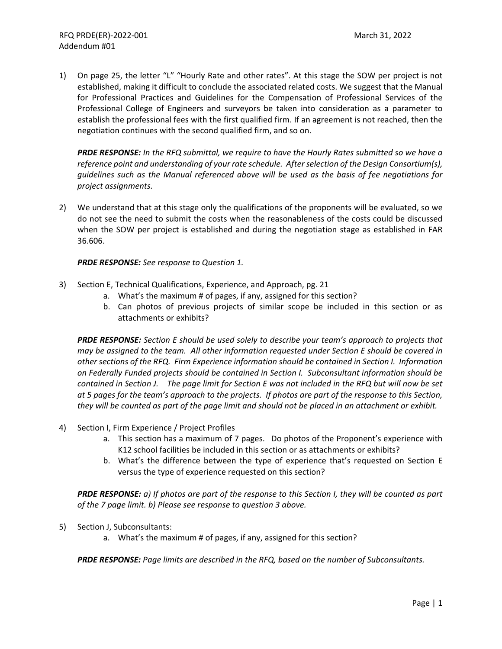1) On page 25, the letter "L" "Hourly Rate and other rates". At this stage the SOW per project is not established, making it difficult to conclude the associated related costs. We suggest that the Manual for Professional Practices and Guidelines for the Compensation of Professional Services of the Professional College of Engineers and surveyors be taken into consideration as a parameter to establish the professional fees with the first qualified firm. If an agreement is not reached, then the negotiation continues with the second qualified firm, and so on.

*PRDE RESPONSE: In the RFQ submittal, we require to have the Hourly Rates submitted so we have a reference point and understanding of your rate schedule. Afterselection of the Design Consortium(s), guidelines such as the Manual referenced above will be used as the basis of fee negotiations for project assignments.*

2) We understand that at this stage only the qualifications of the proponents will be evaluated, so we do not see the need to submit the costs when the reasonableness of the costs could be discussed when the SOW per project is established and during the negotiation stage as established in FAR 36.606.

*PRDE RESPONSE: See response to Question 1.*

- 3) Section E, Technical Qualifications, Experience, and Approach, pg. 21
	- a. What's the maximum # of pages, if any, assigned for this section?
	- b. Can photos of previous projects of similar scope be included in this section or as attachments or exhibits?

*PRDE RESPONSE: Section E should be used solely to describe your team's approach to projects that may be assigned to the team. All other information requested under Section E should be covered in other sections of the RFQ. Firm Experience information should be contained in Section I. Information on Federally Funded projects should be contained in Section I. Subconsultant information should be* contained in Section J. The page limit for Section E was not included in the RFQ but will now be set at 5 pages for the team's approach to the projects. If photos are part of the response to this Section, they will be counted as part of the page limit and should not be placed in an attachment or exhibit.

- 4) Section I, Firm Experience / Project Profiles
	- a. This section has a maximum of 7 pages. Do photos of the Proponent's experience with K12 school facilities be included in this section or as attachments or exhibits?
	- b. What's the difference between the type of experience that's requested on Section E versus the type of experience requested on this section?

**PRDE RESPONSE:** a) If photos are part of the response to this Section I, they will be counted as part *of the 7 page limit. b) Please see response to question 3 above.*

- 5) Section J, Subconsultants:
	- a. What's the maximum # of pages, if any, assigned for this section?

*PRDE RESPONSE: Page limits are described in the RFQ, based on the number of Subconsultants.*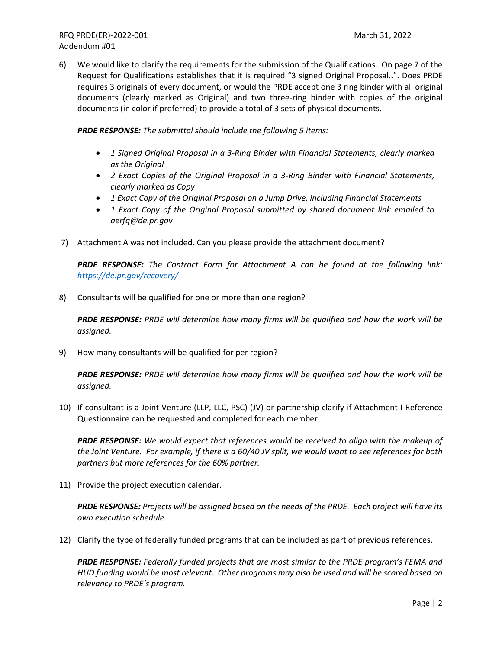6) We would like to clarify the requirements for the submission of the Qualifications. On page 7 of the Request for Qualifications establishes that it is required "3 signed Original Proposal..". Does PRDE requires 3 originals of every document, or would the PRDE accept one 3 ring binder with all original documents (clearly marked as Original) and two three‐ring binder with copies of the original documents (in color if preferred) to provide a total of 3 sets of physical documents.

*PRDE RESPONSE: The submittal should include the following 5 items:* 

- *1 Signed Original Proposal in a 3‐Ring Binder with Financial Statements, clearly marked as the Original*
- *2 Exact Copies of the Original Proposal in a 3‐Ring Binder with Financial Statements, clearly marked as Copy*
- *1 Exact Copy of the Original Proposal on a Jump Drive, including Financial Statements*
- *1 Exact Copy of the Original Proposal submitted by shared document link emailed to aerfq@de.pr.gov*
- 7) Attachment A was not included. Can you please provide the attachment document?

*PRDE RESPONSE: The Contract Form for Attachment A can be found at the following link: https://de.pr.gov/recovery/*

8) Consultants will be qualified for one or more than one region?

*PRDE RESPONSE: PRDE will determine how many firms will be qualified and how the work will be assigned.*

9) How many consultants will be qualified for per region?

*PRDE RESPONSE: PRDE will determine how many firms will be qualified and how the work will be assigned.*

10) If consultant is a Joint Venture (LLP, LLC, PSC) (JV) or partnership clarify if Attachment I Reference Questionnaire can be requested and completed for each member.

*PRDE RESPONSE: We would expect that references would be received to align with the makeup of* the Joint Venture. For example, if there is a 60/40 JV split, we would want to see references for both *partners but more references for the 60% partner.*

11) Provide the project execution calendar.

PRDE RESPONSE: Projects will be assigned based on the needs of the PRDE. Each project will have its *own execution schedule.*

12) Clarify the type of federally funded programs that can be included as part of previous references.

*PRDE RESPONSE: Federally funded projects that are most similar to the PRDE program's FEMA and* HUD funding would be most relevant. Other programs may also be used and will be scored based on *relevancy to PRDE's program.*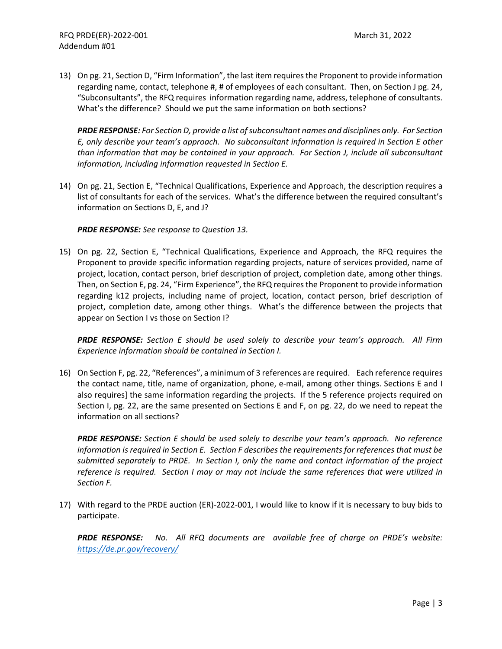13) On pg. 21, Section D, "Firm Information", the last item requiresthe Proponent to provide information regarding name, contact, telephone #, # of employees of each consultant. Then, on Section J pg. 24, "Subconsultants", the RFQ requires information regarding name, address, telephone of consultants. What's the difference? Should we put the same information on both sections?

*PRDE RESPONSE: For Section D, provide a list ofsubconsultant names and disciplines only. For Section E, only describe your team's approach. No subconsultant information is required in Section E other than information that may be contained in your approach. For Section J, include all subconsultant information, including information requested in Section E.*

14) On pg. 21, Section E, "Technical Qualifications, Experience and Approach, the description requires a list of consultants for each of the services. What's the difference between the required consultant's information on Sections D, E, and J?

*PRDE RESPONSE: See response to Question 13.*

15) On pg. 22, Section E, "Technical Qualifications, Experience and Approach, the RFQ requires the Proponent to provide specific information regarding projects, nature of services provided, name of project, location, contact person, brief description of project, completion date, among other things. Then, on Section E, pg. 24, "Firm Experience", the RFQ requires the Proponent to provide information regarding k12 projects, including name of project, location, contact person, brief description of project, completion date, among other things. What's the difference between the projects that appear on Section I vs those on Section I?

*PRDE RESPONSE: Section E should be used solely to describe your team's approach. All Firm Experience information should be contained in Section I.*

16) On Section F, pg. 22, "References", a minimum of 3 references are required. Each reference requires the contact name, title, name of organization, phone, e-mail, among other things. Sections E and I also requires] the same information regarding the projects. If the 5 reference projects required on Section I, pg. 22, are the same presented on Sections E and F, on pg. 22, do we need to repeat the information on all sections?

*PRDE RESPONSE: Section E should be used solely to describe your team's approach. No reference information is required in Section E. Section F describes the requirements for references that must be submitted separately to PRDE. In Section I, only the name and contact information of the project reference is required. Section I may or may not include the same references that were utilized in Section F.*

17) With regard to the PRDE auction (ER)-2022-001, I would like to know if it is necessary to buy bids to participate.

*PRDE RESPONSE: No. All RFQ documents are available free of charge on PRDE's website: https://de.pr.gov/recovery/*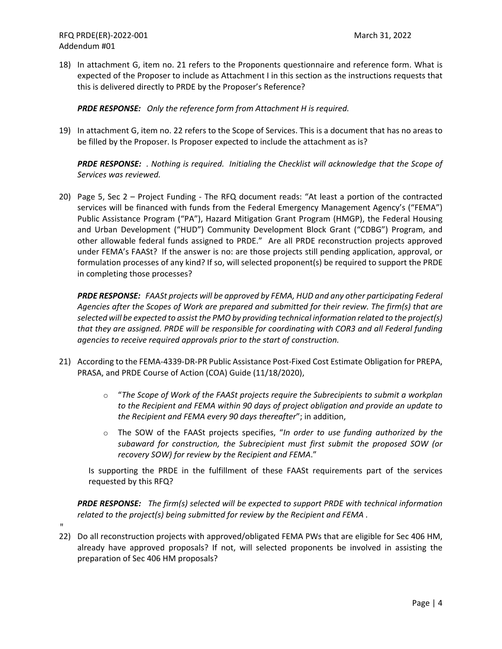18) In attachment G, item no. 21 refers to the Proponents questionnaire and reference form. What is expected of the Proposer to include as Attachment I in this section as the instructions requests that this is delivered directly to PRDE by the Proposer's Reference?

*PRDE RESPONSE: Only the reference form from Attachment H is required.*

19) In attachment G, item no. 22 refers to the Scope of Services. This is a document that has no areas to be filled by the Proposer. Is Proposer expected to include the attachment as is?

*PRDE RESPONSE: . Nothing is required. Initialing the Checklist will acknowledge that the Scope of Services was reviewed.*

20) Page 5, Sec 2 – Project Funding - The RFQ document reads: "At least a portion of the contracted services will be financed with funds from the Federal Emergency Management Agency's ("FEMA") Public Assistance Program ("PA"), Hazard Mitigation Grant Program (HMGP), the Federal Housing and Urban Development ("HUD") Community Development Block Grant ("CDBG") Program, and other allowable federal funds assigned to PRDE." Are all PRDE reconstruction projects approved under FEMA's FAASt? If the answer is no: are those projects still pending application, approval, or formulation processes of any kind? If so, will selected proponent(s) be required to support the PRDE in completing those processes?

*PRDE RESPONSE: FAASt projects will be approved by FEMA, HUD and any other participating Federal Agencies after the Scopes of Work are prepared and submitted for their review. The firm(s) that are selected will be expected to assist the PMO by providing technical information related to the project(s) that they are assigned. PRDE will be responsible for coordinating with COR3 and all Federal funding agencies to receive required approvals prior to the start of construction.* 

- 21) According to the FEMA-4339-DR-PR Public Assistance Post-Fixed Cost Estimate Obligation for PREPA, PRASA, and PRDE Course of Action (COA) Guide (11/18/2020),
	- o "*The Scope of Work of the FAASt projects require the Subrecipients to submit a workplan to the Recipient and FEMA within 90 days of project obligation and provide an update to the Recipient and FEMA every 90 days thereafter*"; in addition,
	- o The SOW of the FAASt projects specifies, "*In order to use funding authorized by the subaward for construction, the Subrecipient must first submit the proposed SOW (or recovery SOW) for review by the Recipient and FEMA*."

Is supporting the PRDE in the fulfillment of these FAASt requirements part of the services requested by this RFQ?

*PRDE RESPONSE: The firm(s) selected will be expected to support PRDE with technical information related to the project(s) being submitted for review by the Recipient and FEMA .*

- $\mathbf{H}$
- 22) Do all reconstruction projects with approved/obligated FEMA PWs that are eligible for Sec 406 HM, already have approved proposals? If not, will selected proponents be involved in assisting the preparation of Sec 406 HM proposals?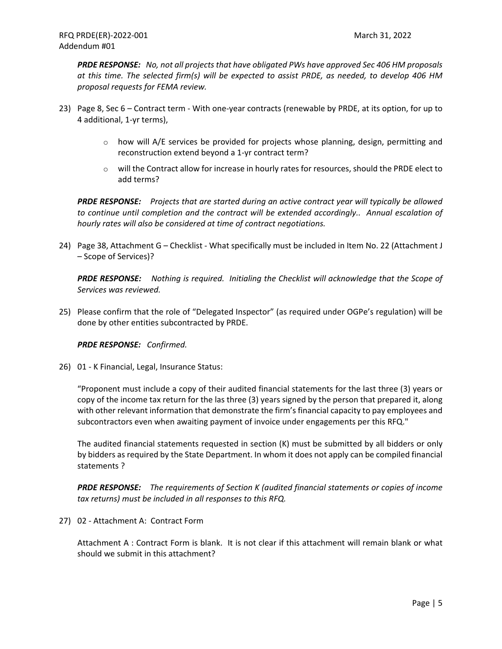*PRDE RESPONSE: No, not all projects that have obligated PWs have approved Sec 406 HM proposals at this time. The selected firm(s) will be expected to assist PRDE, as needed, to develop 406 HM proposal requests for FEMA review.* 

- 23) Page 8, Sec 6 Contract term With one-year contracts (renewable by PRDE, at its option, for up to 4 additional, 1‐yr terms),
	- $\circ$  how will A/E services be provided for projects whose planning, design, permitting and reconstruction extend beyond a 1‐yr contract term?
	- $\circ$  will the Contract allow for increase in hourly rates for resources, should the PRDE elect to add terms?

*PRDE RESPONSE: Projects that are started during an active contract year will typically be allowed to continue until completion and the contract will be extended accordingly.. Annual escalation of hourly rates will also be considered at time of contract negotiations.*

24) Page 38, Attachment G – Checklist - What specifically must be included in Item No. 22 (Attachment J – Scope of Services)?

*PRDE RESPONSE: Nothing is required. Initialing the Checklist will acknowledge that the Scope of Services was reviewed.*

25) Please confirm that the role of "Delegated Inspector" (as required under OGPe's regulation) will be done by other entities subcontracted by PRDE.

*PRDE RESPONSE: Confirmed.*

26) 01 ‐ K Financial, Legal, Insurance Status:

"Proponent must include a copy of their audited financial statements for the last three (3) years or copy of the income tax return for the las three (3) years signed by the person that prepared it, along with other relevant information that demonstrate the firm's financial capacity to pay employees and subcontractors even when awaiting payment of invoice under engagements per this RFQ."

The audited financial statements requested in section (K) must be submitted by all bidders or only by bidders as required by the State Department. In whom it does not apply can be compiled financial statements ?

*PRDE RESPONSE: The requirements of Section K (audited financial statements or copies of income tax returns) must be included in all responses to this RFQ.*

27) 02 ‐ Attachment A: Contract Form

Attachment A : Contract Form is blank. It is not clear if this attachment will remain blank or what should we submit in this attachment?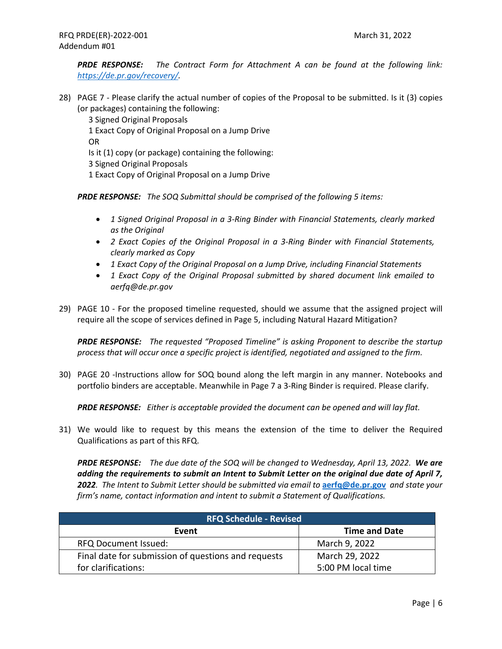*PRDE RESPONSE: The Contract Form for Attachment A can be found at the following link: https://de.pr.gov/recovery/.*

28) PAGE 7 ‐ Please clarify the actual number of copies of the Proposal to be submitted. Is it (3) copies (or packages) containing the following:

3 Signed Original Proposals

1 Exact Copy of Original Proposal on a Jump Drive

OR

Is it (1) copy (or package) containing the following:

3 Signed Original Proposals

1 Exact Copy of Original Proposal on a Jump Drive

*PRDE RESPONSE: The SOQ Submittal should be comprised of the following 5 items:*

- *1 Signed Original Proposal in a 3‐Ring Binder with Financial Statements, clearly marked as the Original*
- *2 Exact Copies of the Original Proposal in a 3‐Ring Binder with Financial Statements, clearly marked as Copy*
- *1 Exact Copy of the Original Proposal on a Jump Drive, including Financial Statements*
- *1 Exact Copy of the Original Proposal submitted by shared document link emailed to aerfq@de.pr.gov*
- 29) PAGE 10 For the proposed timeline requested, should we assume that the assigned project will require all the scope of services defined in Page 5, including Natural Hazard Mitigation?

*PRDE RESPONSE: The requested "Proposed Timeline" is asking Proponent to describe the startup process that will occur once a specific project is identified, negotiated and assigned to the firm.*

30) PAGE 20 ‐Instructions allow for SOQ bound along the left margin in any manner. Notebooks and portfolio binders are acceptable. Meanwhile in Page 7 a 3‐Ring Binder is required. Please clarify.

*PRDE RESPONSE: Either is acceptable provided the document can be opened and will lay flat.*

31) We would like to request by this means the extension of the time to deliver the Required Qualifications as part of this RFQ.

**PRDE RESPONSE:** The due date of the SOQ will be changed to Wednesday, April 13, 2022. We are *adding the requirements to submit an Intent to Submit Letter on the original due date of April 7,* 2022. The Intent to Submit Letter should be submitted via email to aerfq@de.pr.gov and state your *firm's name, contact information and intent to submit a Statement of Qualifications.*

| <b>RFQ Schedule - Revised</b>                       |                      |
|-----------------------------------------------------|----------------------|
| Event                                               | <b>Time and Date</b> |
| <b>RFQ Document Issued:</b>                         | March 9, 2022        |
| Final date for submission of questions and requests | March 29, 2022       |
| for clarifications:                                 | 5:00 PM local time   |